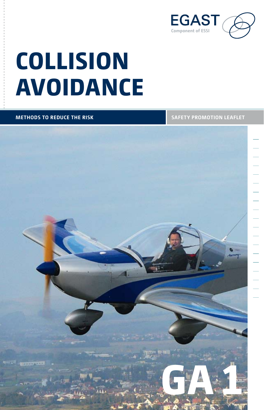

# **Collision Avoidance**

#### **Dummytext Caption: Field of vision methods to reduce the risk Safety promotion leaflet**

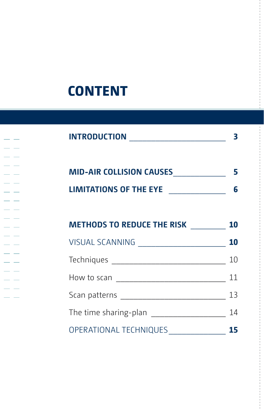### **CONTENT**

| <b>INTRODUCTION</b>                    |    |
|----------------------------------------|----|
| MID-AIR COLLISION CAUSES               | 5  |
| LIMITATIONS OF THE EYE _______________ | 6  |
| <b>METHODS TO REDUCE THE RISK 10</b>   |    |
|                                        |    |
|                                        | 10 |
|                                        |    |
|                                        |    |
|                                        |    |
| OPERATIONAL TECHNIQUES _______________ | 15 |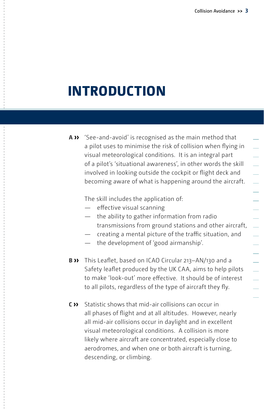### **Introduction**

**A ››** 'See-and-avoid' is recognised as the main method that a pilot uses to minimise the risk of collision when flying in visual meteorological conditions. It is an integral part of a pilot's 'situational awareness', in other words the skill involved in looking outside the cockpit or flight deck and becoming aware of what is happening around the aircraft.

The skill includes the application of:

- effective visual scanning
- the ability to gather information from radio transmissions from ground stations and other aircraft,
- creating a mental picture of the traffic situation, and
- the development of 'good airmanship'.
- **B ››** This Leaflet, based on ICAO Circular 213–AN/130 and a Safety leaflet produced by the UK CAA, aims to help pilots to make 'look-out' more effective. It should be of interest to all pilots, regardless of the type of aircraft they fly.
- **C ››** Statistic shows that mid-air collisions can occur in all phases of flight and at all altitudes. However, nearly all mid-air collisions occur in daylight and in excellent visual meteorological conditions. A collision is more likely where aircraft are concentrated, especially close to aerodromes, and when one or both aircraft is turning, descending, or climbing.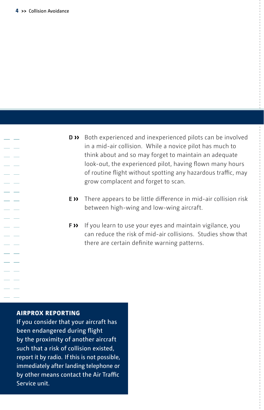- **D ››** Both experienced and inexperienced pilots can be involved in a mid-air collision. While a novice pilot has much to think about and so may forget to maintain an adequate look-out, the experienced pilot, having flown many hours of routine flight without spotting any hazardous traffic, may grow complacent and forget to scan.
- **E ››** There appears to be little difference in mid-air collision risk between high-wing and low-wing aircraft.
- **F ››** If you learn to use your eyes and maintain vigilance, you can reduce the risk of mid-air collisions. Studies show that there are certain definite warning patterns.

#### **AIRPROX reporting**

If you consider that your aircraft has been endangered during flight by the proximity of another aircraft such that a risk of collision existed, report it by radio. If this is not possible, immediately after landing telephone or by other means contact the Air Traffic Service unit.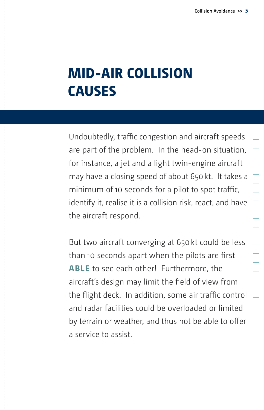$\equiv$ 

### **Mid-air collision causes**

Undoubtedly, traffic congestion and aircraft speeds are part of the problem. In the head-on situation, for instance, a jet and a light twin-engine aircraft may have a closing speed of about 650kt. It takes a Τ minimum of 10 seconds for a pilot to spot traffic, identify it, realise it is a collision risk, react, and have the aircraft respond.

But two aircraft converging at 650kt could be less than 10 seconds apart when the pilots are first **able** to see each other! Furthermore, the aircraft's design may limit the field of view from the flight deck. In addition, some air traffic control and radar facilities could be overloaded or limited by terrain or weather, and thus not be able to offer a service to assist.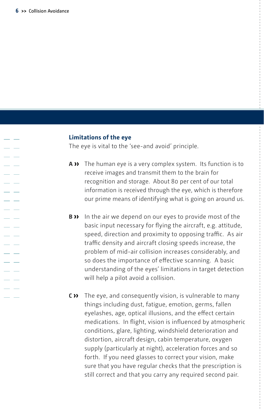a a

#### **Limitations of the eye**

The eye is vital to the 'see-and avoid' principle.

- **A ››** The human eye is a very complex system. Its function is to receive images and transmit them to the brain for recognition and storage. About 80 per cent of our total information is received through the eye, which is therefore our prime means of identifying what is going on around us.
- **b ››** In the air we depend on our eyes to provide most of the basic input necessary for flying the aircraft, e.g. attitude, speed, direction and proximity to opposing traffic. As air traffic density and aircraft closing speeds increase, the problem of mid-air collision increases considerably, and so does the importance of effective scanning. A basic understanding of the eyes' limitations in target detection will help a pilot avoid a collision.
- **C ››** The eye, and consequently vision, is vulnerable to many things including dust, fatigue, emotion, germs, fallen eyelashes, age, optical illusions, and the effect certain medications. In flight, vision is influenced by atmospheric conditions, glare, lighting, windshield deterioration and distortion, aircraft design, cabin temperature, oxygen supply (particularly at night), acceleration forces and so forth. If you need glasses to correct your vision, make sure that you have regular checks that the prescription is still correct and that you carry any required second pair.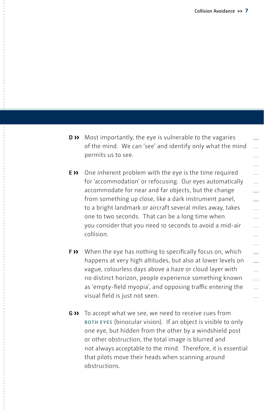- **D ››** Most importantly, the eye is vulnerable to the vagaries of the mind. We can 'see' and identify only what the mind permits us to see.
- **E ››** One inherent problem with the eye is the time required for 'accommodation' or refocusing. Our eyes automatically accommodate for near and far objects, but the change from something up close, like a dark instrument panel, to a bright landmark or aircraft several miles away, takes one to two seconds. That can be a long time when you consider that you need 10 seconds to avoid a mid-air collision.
- **F ››** When the eye has nothing to specifically focus on, which happens at very high altitudes, but also at lower levels on vague, colourless days above a haze or cloud layer with no distinct horizon, people experience something known as 'empty-field myopia', and opposing traffic entering the visual field is just not seen.
- **G ››** To accept what we see, we need to receive cues from **both eyes** (binocular vision). If an object is visible to only one eye, but hidden from the other by a windshield post or other obstruction, the total image is blurred and not always acceptable to the mind. Therefore, it is essential that pilots move their heads when scanning around obstructions.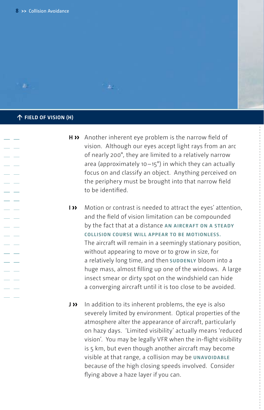#### **↑ Field of vision (H)**

×

**H ››** Another inherent eye problem is the narrow field of vision. Although our eyes accept light rays from an arc of nearly 200°, they are limited to a relatively narrow area (approximately 10 $-15^\circ$ ) in which they can actually focus on and classify an object. Anything perceived on the periphery must be brought into that narrow field to be identified.

رچ -

- **i ››** Motion or contrast is needed to attract the eyes' attention, and the field of vision limitation can be compounded by the fact that at a distance **an aircr aft on a steady collision course will appear to be motionless.** The aircraft will remain in a seemingly stationary position, without appearing to move or to grow in size, for a relatively long time, and then **SUDDENLY** bloom into a huge mass, almost filling up one of the windows. A large insect smear or dirty spot on the windshield can hide a converging aircraft until it is too close to be avoided.
- **J ››** In addition to its inherent problems, the eye is also severely limited by environment. Optical properties of the atmosphere alter the appearance of aircraft, particularly on hazy days. 'Limited visibility' actually means 'reduced vision'. You may be legally VFR when the in-flight visibility is 5 km, but even though another aircraft may become visible at that range, a collision may be **UNAVOIDABLE** because of the high closing speeds involved. Consider flying above a haze layer if you can.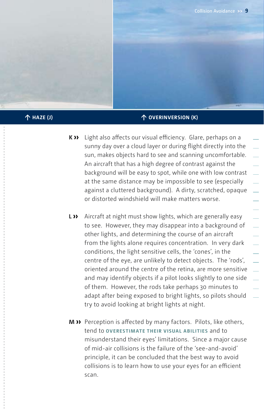#### **↑ haze (J) ↑ overinversion (K)**

- **K ››** Light also affects our visual efficiency. Glare, perhaps on a sunny day over a cloud layer or during flight directly into the sun, makes objects hard to see and scanning uncomfortable. An aircraft that has a high degree of contrast against the background will be easy to spot, while one with low contrast at the same distance may be impossible to see (especially against a cluttered background). A dirty, scratched, opaque or distorted windshield will make matters worse.
- **L ››** Aircraft at night must show lights, which are generally easy to see. However, they may disappear into a background of other lights, and determining the course of an aircraft from the lights alone requires concentration. In very dark conditions, the light sensitive cells, the 'cones', in the centre of the eye, are unlikely to detect objects. The 'rods', oriented around the centre of the retina, are more sensitive and may identify objects if a pilot looks slightly to one side of them. However, the rods take perhaps 30 minutes to adapt after being exposed to bright lights, so pilots should try to avoid looking at bright lights at night.
- **M ››** Perception is affected by many factors. Pilots, like others, tend to **overestimate their visual abilities** and to misunderstand their eyes' limitations. Since a major cause of mid-air collisions is the failure of the 'see-and-avoid' principle, it can be concluded that the best way to avoid collisions is to learn how to use your eyes for an efficient scan.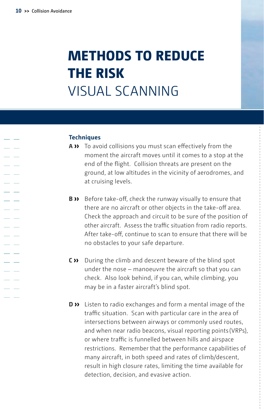### **Methods to reduce the risk**  Visual scanning

#### **Techniques**

- **A ››** To avoid collisions you must scan effectively from the moment the aircraft moves until it comes to a stop at the end of the flight. Collision threats are present on the ground, at low altitudes in the vicinity of aerodromes, and at cruising levels.
- **B ››** Before take-off, check the runway visually to ensure that there are no aircraft or other objects in the take-off area. Check the approach and circuit to be sure of the position of other aircraft. Assess the traffic situation from radio reports. After take-off, continue to scan to ensure that there will be no obstacles to your safe departure.
- **C ››** During the climb and descent beware of the blind spot under the nose – manoeuvre the aircraft so that you can check. Also look behind, if you can, while climbing, you may be in a faster aircraft's blind spot.
- **D ››** Listen to radio exchanges and form a mental image of the traffic situation. Scan with particular care in the area of intersections between airways or commonly used routes, and when near radio beacons, visual reporting points (VRPs), or where traffic is funnelled between hills and airspace restrictions. Remember that the performance capabilities of many aircraft, in both speed and rates of climb/descent, result in high closure rates, limiting the time available for detection, decision, and evasive action.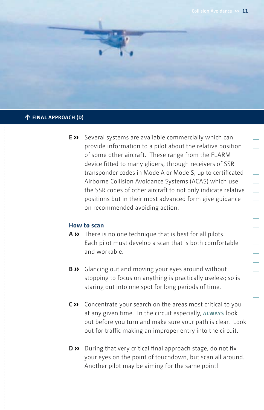![](_page_10_Picture_1.jpeg)

#### **↑ Final approach (D)**

**E ››** Several systems are available commercially which can provide information to a pilot about the relative position of some other aircraft. These range from the FLARM device fitted to many gliders, through receivers of SSR transponder codes in Mode A or Mode S, up to certificated Airborne Collision Avoidance Systems (ACAS) which use the SSR codes of other aircraft to not only indicate relative positions but in their most advanced form give guidance on recommended avoiding action.

#### **How to scan**

- **A ››** There is no one technique that is best for all pilots. Each pilot must develop a scan that is both comfortable and workable.
- **B ››** Glancing out and moving your eyes around without stopping to focus on anything is practically useless; so is staring out into one spot for long periods of time.
- **C ››** Concentrate your search on the areas most critical to you at any given time. In the circuit especially, **always** look out before you turn and make sure your path is clear. Look out for traffic making an improper entry into the circuit.
- **D ››** During that very critical final approach stage, do not fix your eyes on the point of touchdown, but scan all around. Another pilot may be aiming for the same point!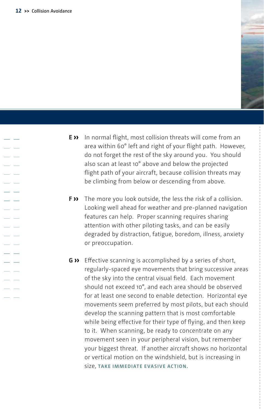- 11

![](_page_11_Picture_1.jpeg)

- **E ››** In normal flight, most collision threats will come from an area within 60° left and right of your flight path. However, do not forget the rest of the sky around you. You should also scan at least 10° above and below the projected flight path of your aircraft, because collision threats may be climbing from below or descending from above.
- **F ››** The more you look outside, the less the risk of a collision. Looking well ahead for weather and pre-planned navigation features can help. Proper scanning requires sharing attention with other piloting tasks, and can be easily degraded by distraction, fatigue, boredom, illness, anxiety or preoccupation.
- **G ››** Effective scanning is accomplished by a series of short, regularly-spaced eye movements that bring successive areas of the sky into the central visual field. Each movement should not exceed 10°, and each area should be observed for at least one second to enable detection. Horizontal eye movements seem preferred by most pilots, but each should develop the scanning pattern that is most comfortable while being effective for their type of flying, and then keep to it. When scanning, be ready to concentrate on any movement seen in your peripheral vision, but remember your biggest threat. If another aircraft shows no horizontal or vertical motion on the windshield, but is increasing in size, **take immediate evasive action.**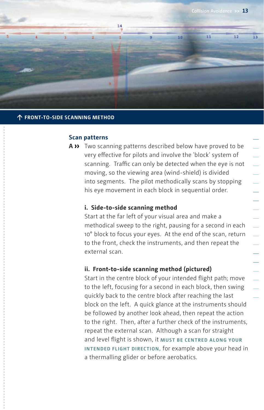![](_page_12_Picture_1.jpeg)

#### **↑ Front-to-side scanning method**

#### **Scan patterns**

**A ››** Two scanning patterns described below have proved to be very effective for pilots and involve the 'block' system of scanning. Traffic can only be detected when the eye is not moving, so the viewing area (wind-shield) is divided into segments. The pilot methodically scans by stopping his eye movement in each block in sequential order.

#### **i. Side-to-side scanning method**

Start at the far left of your visual area and make a methodical sweep to the right, pausing for a second in each 10° block to focus your eyes. At the end of the scan, return to the front, check the instruments, and then repeat the external scan.

#### **ii. Front-to-side scanning method (pictured)**

Start in the centre block of your intended flight path; move to the left, focusing for a second in each block, then swing quickly back to the centre block after reaching the last block on the left. A quick glance at the instruments should be followed by another look ahead, then repeat the action to the right. Then, after a further check of the instruments, repeat the external scan. Although a scan for straight and level flight is shown, it **must be centred along your intended flight direction,** for example above your head in a thermalling glider or before aerobatics.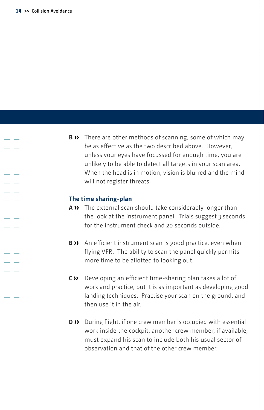- -

- 11

**B ››** There are other methods of scanning, some of which may be as effective as the two described above. However, unless your eyes have focussed for enough time, you are unlikely to be able to detect all targets in your scan area. When the head is in motion, vision is blurred and the mind will not register threats.

#### **The time sharing-plan**

- **A ››** The external scan should take considerably longer than the look at the instrument panel. Trials suggest 3 seconds for the instrument check and 20 seconds outside.
- **B ››** An efficient instrument scan is good practice, even when flying VFR. The ability to scan the panel quickly permits more time to be allotted to looking out.
- **C ››** Developing an efficient time-sharing plan takes a lot of work and practice, but it is as important as developing good landing techniques. Practise your scan on the ground, and then use it in the air.
- **D ››** During flight, if one crew member is occupied with essential work inside the cockpit, another crew member, if available, must expand his scan to include both his usual sector of observation and that of the other crew member.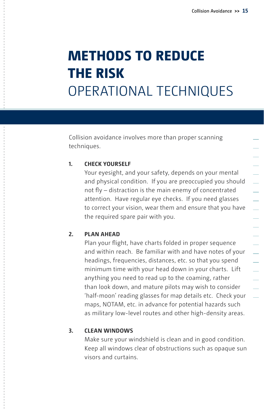### **Methods to reduce the risk** Operational techniques

Collision avoidance involves more than proper scanning techniques.

#### **1. Check yourself**

Your eyesight, and your safety, depends on your mental and physical condition. If you are preoccupied you should not fly – distraction is the main enemy of concentrated attention. Have regular eye checks. If you need glasses to correct your vision, wear them and ensure that you have the required spare pair with you.

#### **2. Plan ahead**

Plan your flight, have charts folded in proper sequence and within reach. Be familiar with and have notes of your headings, frequencies, distances, etc. so that you spend minimum time with your head down in your charts. Lift anything you need to read up to the coaming, rather than look down, and mature pilots may wish to consider 'half-moon' reading glasses for map details etc. Check your maps, NOTAM, etc. in advance for potential hazards such as military low-level routes and other high-density areas.

#### **3. Clean windows**

Make sure your windshield is clean and in good condition. Keep all windows clear of obstructions such as opaque sun visors and curtains.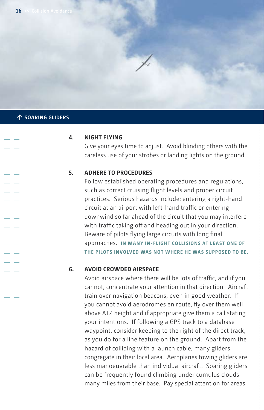#### **↑ soaring gliders**

#### **4. Night Flying**

Give your eyes time to adjust. Avoid blinding others with the careless use of your strobes or landing lights on the ground.

#### **5. Adhere to procedures**

Follow established operating procedures and regulations, such as correct cruising flight levels and proper circuit practices. Serious hazards include: entering a right-hand circuit at an airport with left-hand traffic or entering downwind so far ahead of the circuit that you may interfere with traffic taking off and heading out in your direction. Beware of pilots flying large circuits with long final approaches. **In many in‑flight collisions at least one of the pilots involved was not where he was supposed to be.** 

#### **6. Avoid crowded airspace**

Avoid airspace where there will be lots of traffic, and if you cannot, concentrate your attention in that direction. Aircraft train over navigation beacons, even in good weather. If you cannot avoid aerodromes en route, fly over them well above ATZ height and if appropriate give them a call stating your intentions. If following a GPS track to a database waypoint, consider keeping to the right of the direct track, as you do for a line feature on the ground. Apart from the hazard of colliding with a launch cable, many gliders congregate in their local area. Aeroplanes towing gliders are less manoeuvrable than individual aircraft. Soaring gliders can be frequently found climbing under cumulus clouds many miles from their base. Pay special attention for areas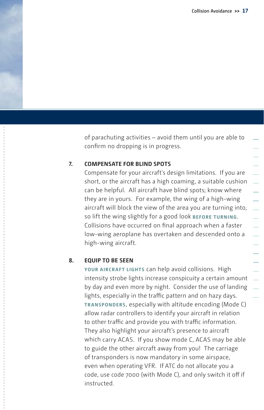of parachuting activities – avoid them until you are able to confirm no dropping is in progress.

#### **7. Compensate for blind spots**

Compensate for your aircraft's design limitations. If you are short, or the aircraft has a high coaming, a suitable cushion can be helpful. All aircraft have blind spots; know where they are in yours. For example, the wing of a high-wing aircraft will block the view of the area you are turning into, so lift the wing slightly for a good look **before turning.** Collisions have occurred on final approach when a faster low-wing aeroplane has overtaken and descended onto a high-wing aircraft.

#### **8. Equip to be seen**

YOUR AIRCRAFT LIGHTS can help avoid collisions. High intensity strobe lights increase conspicuity a certain amount by day and even more by night. Consider the use of landing lights, especially in the traffic pattern and on hazy days. **Transponders,** especially with altitude encoding (Mode C) allow radar controllers to identify your aircraft in relation to other traffic and provide you with traffic information. They also highlight your aircraft's presence to aircraft which carry ACAS. If you show mode C, ACAS may be able to guide the other aircraft away from you! The carriage of transponders is now mandatory in some airspace, even when operating VFR. If ATC do not allocate you a code, use code 7000 (with Mode C), and only switch it off if instructed.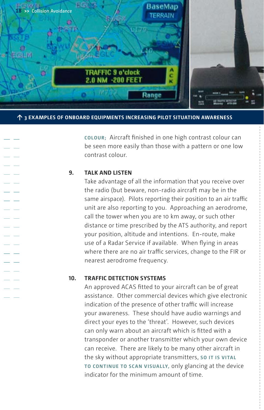![](_page_17_Picture_0.jpeg)

**↑ 3 examples of onboard equipments increasing pilot situation awareness**

**Colour;** Aircraft finished in one high contrast colour can be seen more easily than those with a pattern or one low contrast colour.

#### **9. Talk and listen**

Take advantage of all the information that you receive over the radio (but beware, non-radio aircraft may be in the same airspace). Pilots reporting their position to an air traffic unit are also reporting to you. Approaching an aerodrome, call the tower when you are 10 km away, or such other distance or time prescribed by the ATS authority, and report your position, altitude and intentions. En-route, make use of a Radar Service if available. When flying in areas where there are no air traffic services, change to the FIR or nearest aerodrome frequency.

#### **10. Traffic Detection Systems**

An approved ACAS fitted to your aircraft can be of great assistance. Other commercial devices which give electronic indication of the presence of other traffic will increase your awareness. These should have audio warnings and direct your eyes to the 'threat'. However, such devices can only warn about an aircraft which is fitted with a transponder or another transmitter which your own device can receive. There are likely to be many other aircraft in the sky without appropriate transmitters, **so it is vital to continue to scan visually,** only glancing at the device indicator for the minimum amount of time.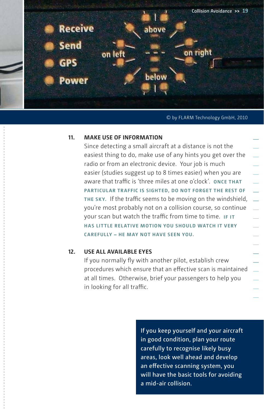![](_page_18_Picture_0.jpeg)

#### **Dummytext Caption: Field of vision** © by FLARM Technology GmbH, 2010

#### **11. Make use of information**

Since detecting a small aircraft at a distance is not the easiest thing to do, make use of any hints you get over the radio or from an electronic device. Your job is much easier (studies suggest up to 8 times easier) when you are aware that traffic is 'three miles at one o'clock'. **Once that particular traffic is sighted, do not forget the rest of the sky.** If the traffic seems to be moving on the windshield, you're most probably not on a collision course, so continue your scan but watch the traffic from time to time. **If it has little relative motion you should watch it very carefully – he may not have seen you.**

#### **12. Use all available eyes**

If you normally fly with another pilot, establish crew procedures which ensure that an effective scan is maintained at all times. Otherwise, brief your passengers to help you in looking for all traffic.

> If you keep yourself and your aircraft in good condition, plan your route carefully to recognise likely busy areas, look well ahead and develop an effective scanning system, you will have the basic tools for avoiding a mid-air collision.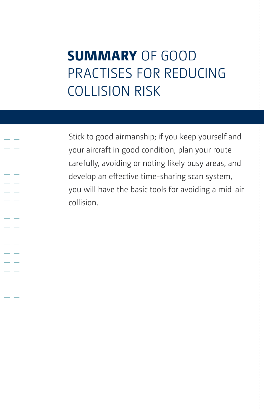### **Summary** of good practises for reducing collision risk

Stick to good airmanship; if you keep yourself and your aircraft in good condition, plan your route carefully, avoiding or noting likely busy areas, and develop an effective time-sharing scan system, you will have the basic tools for avoiding a mid-air collision.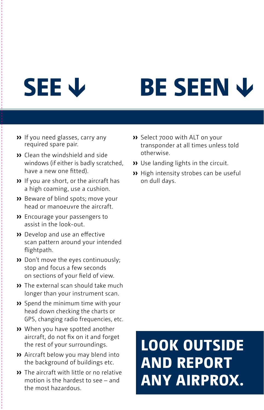# **SEE ↓**

![](_page_20_Picture_1.jpeg)

- **››** If you need glasses, carry any required spare pair.
- **››** Clean the windshield and side windows (if either is badly scratched, have a new one fitted).
- **››** If you are short, or the aircraft has a high coaming, use a cushion.
- **››** Beware of blind spots; move your head or manoeuvre the aircraft.
- **››** Encourage your passengers to assist in the look-out.
- **››** Develop and use an effective scan pattern around your intended flightpath.
- **››** Don't move the eyes continuously; stop and focus a few seconds on sections of your field of view.
- **››** The external scan should take much longer than your instrument scan.
- **››** Spend the minimum time with your head down checking the charts or GPS, changing radio frequencies, etc.
- **››** When you have spotted another aircraft, do not fix on it and forget the rest of your surroundings.
- **››** Aircraft below you may blend into the background of buildings etc.
- **››** The aircraft with little or no relative motion is the hardest to see – and the most hazardous.
- **››** Select 7000 with ALT on your transponder at all times unless told otherwise.
- **››** Use landing lights in the circuit.
- **››** High intensity strobes can be useful on dull days.

## **LOOK OUTSIDE AND REPORT ANY AIRPROX.**